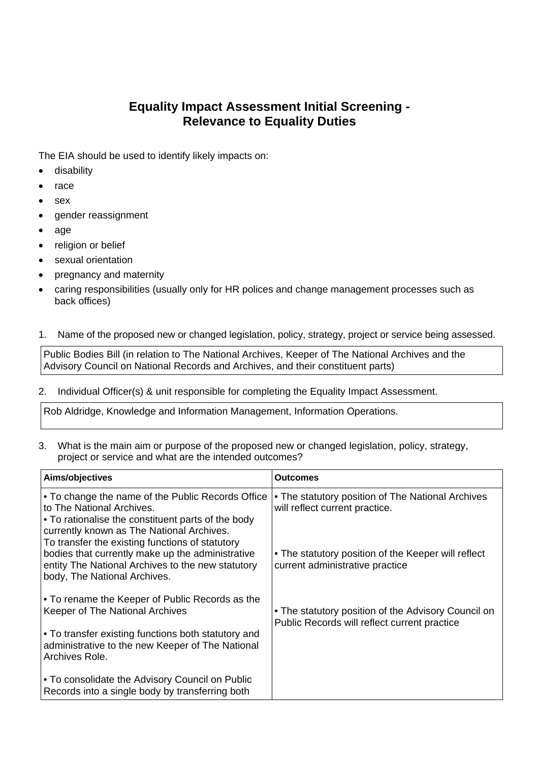## **Equality Impact Assessment Initial Screening - Relevance to Equality Duties**

The EIA should be used to identify likely impacts on:

- **•** disability
- $•$  race
- sex
- gender reassignment
- age
- religion or belief
- sexual orientation
- pregnancy and maternity
- caring responsibilities (usually only for HR polices and change management processes such as back offices)

## 1. Name of the proposed new or changed legislation, policy, strategy, project or service being assessed.

Public Bodies Bill (in relation to The National Archives, Keeper of The National Archives and the Advisory Council on National Records and Archives, and their constituent parts)

## 2. Individual Officer(s) & unit responsible for completing the Equality Impact Assessment.

Rob Aldridge, Knowledge and Information Management, Information Operations.

3. What is the main aim or purpose of the proposed new or changed legislation, policy, strategy, project or service and what are the intended outcomes?

| Aims/objectives                                                                                                                                                                                                                      | <b>Outcomes</b>                                                                                     |
|--------------------------------------------------------------------------------------------------------------------------------------------------------------------------------------------------------------------------------------|-----------------------------------------------------------------------------------------------------|
| • To change the name of the Public Records Office<br>to The National Archives.<br>• To rationalise the constituent parts of the body<br>currently known as The National Archives.<br>To transfer the existing functions of statutory | • The statutory position of The National Archives<br>will reflect current practice.                 |
| bodies that currently make up the administrative<br>entity The National Archives to the new statutory<br>body, The National Archives.                                                                                                | • The statutory position of the Keeper will reflect<br>current administrative practice              |
| • To rename the Keeper of Public Records as the<br>Keeper of The National Archives                                                                                                                                                   | • The statutory position of the Advisory Council on<br>Public Records will reflect current practice |
| • To transfer existing functions both statutory and<br>administrative to the new Keeper of The National<br>Archives Role.                                                                                                            |                                                                                                     |
| . To consolidate the Advisory Council on Public<br>Records into a single body by transferring both                                                                                                                                   |                                                                                                     |